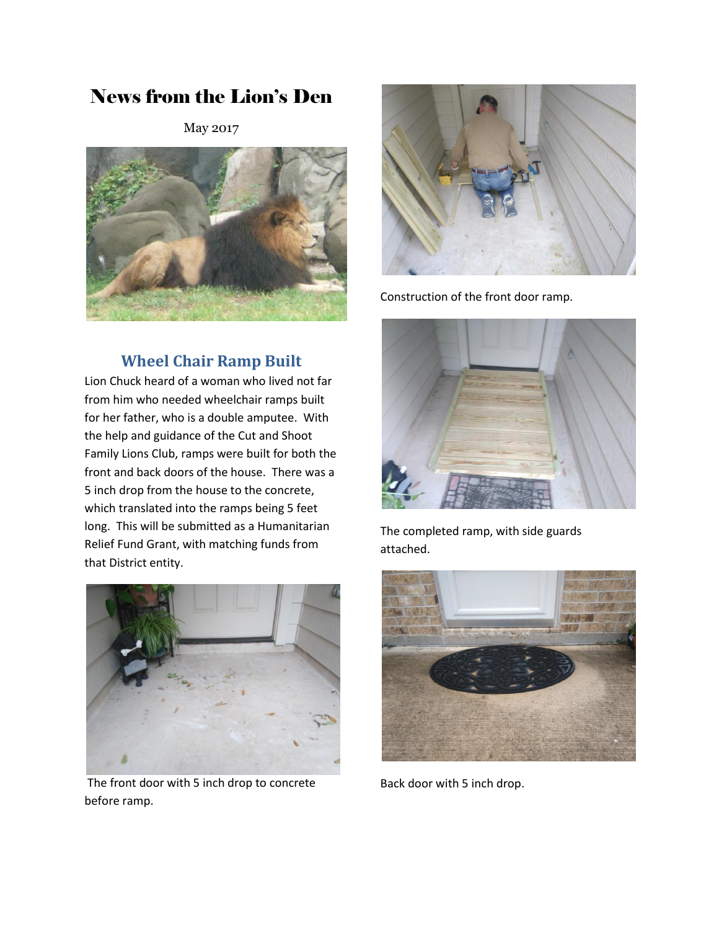# News from the Lion's Den

May 2017



## **Wheel Chair Ramp Built**

Lion Chuck heard of a woman who lived not far from him who needed wheelchair ramps built for her father, who is a double amputee. With the help and guidance of the Cut and Shoot Family Lions Club, ramps were built for both the front and back doors of the house. There was a 5 inch drop from the house to the concrete, which translated into the ramps being 5 feet long. This will be submitted as a Humanitarian Relief Fund Grant, with matching funds from that District entity.



The front door with 5 inch drop to concrete before ramp.



Construction of the front door ramp.



The completed ramp, with side guards attached.



Back door with 5 inch drop.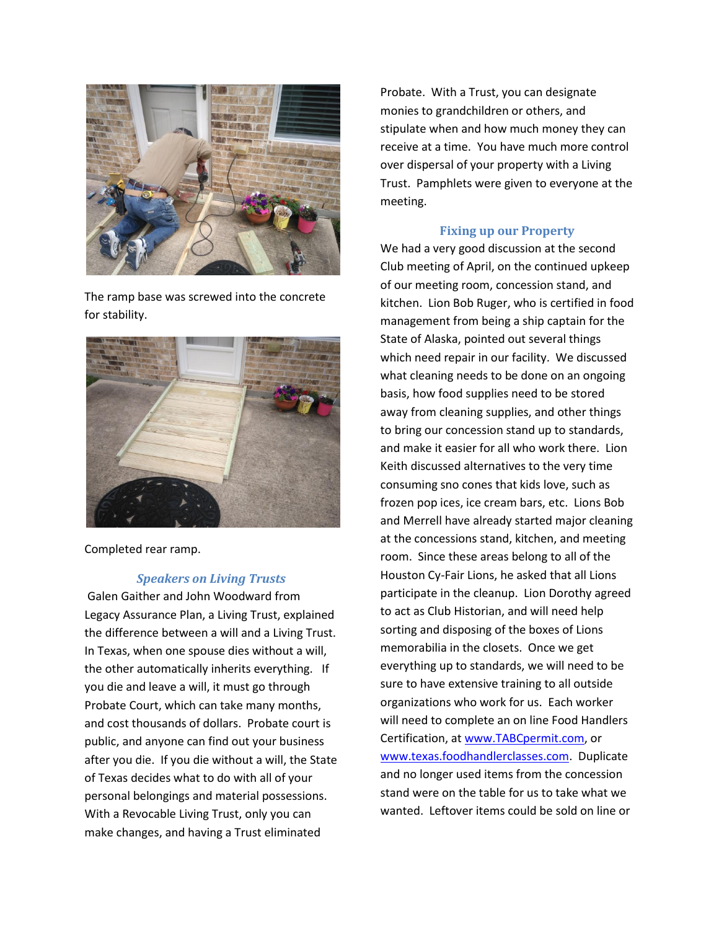

The ramp base was screwed into the concrete for stability.



Completed rear ramp.

#### *Speakers on Living Trusts*

Galen Gaither and John Woodward from Legacy Assurance Plan, a Living Trust, explained the difference between a will and a Living Trust. In Texas, when one spouse dies without a will, the other automatically inherits everything. If you die and leave a will, it must go through Probate Court, which can take many months, and cost thousands of dollars. Probate court is public, and anyone can find out your business after you die. If you die without a will, the State of Texas decides what to do with all of your personal belongings and material possessions. With a Revocable Living Trust, only you can make changes, and having a Trust eliminated

Probate. With a Trust, you can designate monies to grandchildren or others, and stipulate when and how much money they can receive at a time. You have much more control over dispersal of your property with a Living Trust. Pamphlets were given to everyone at the meeting.

#### **Fixing up our Property**

We had a very good discussion at the second Club meeting of April, on the continued upkeep of our meeting room, concession stand, and kitchen. Lion Bob Ruger, who is certified in food management from being a ship captain for the State of Alaska, pointed out several things which need repair in our facility. We discussed what cleaning needs to be done on an ongoing basis, how food supplies need to be stored away from cleaning supplies, and other things to bring our concession stand up to standards, and make it easier for all who work there. Lion Keith discussed alternatives to the very time consuming sno cones that kids love, such as frozen pop ices, ice cream bars, etc. Lions Bob and Merrell have already started major cleaning at the concessions stand, kitchen, and meeting room. Since these areas belong to all of the Houston Cy-Fair Lions, he asked that all Lions participate in the cleanup. Lion Dorothy agreed to act as Club Historian, and will need help sorting and disposing of the boxes of Lions memorabilia in the closets. Once we get everything up to standards, we will need to be sure to have extensive training to all outside organizations who work for us. Each worker will need to complete an on line Food Handlers Certification, a[t www.TABCpermit.com,](http://www.tabcpermit.com/) or [www.texas.foodhandlerclasses.com.](http://www.texas.foodhandlerclasses.com/) Duplicate and no longer used items from the concession stand were on the table for us to take what we wanted. Leftover items could be sold on line or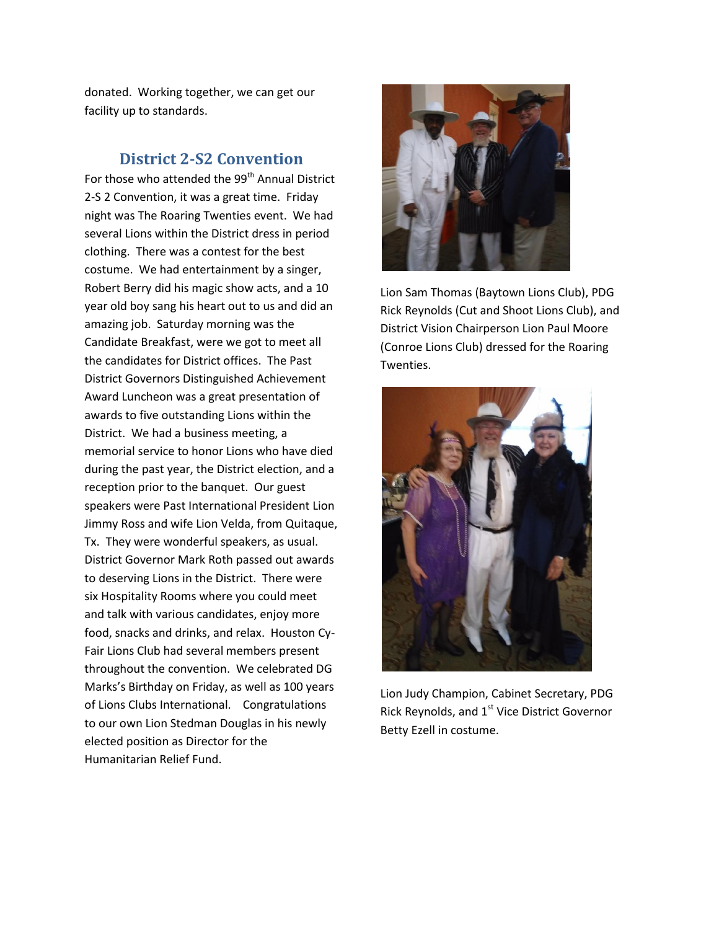donated. Working together, we can get our facility up to standards.

### **District 2-S2 Convention**

For those who attended the 99<sup>th</sup> Annual District 2-S 2 Convention, it was a great time. Friday night was The Roaring Twenties event. We had several Lions within the District dress in period clothing. There was a contest for the best costume. We had entertainment by a singer, Robert Berry did his magic show acts, and a 10 year old boy sang his heart out to us and did an amazing job. Saturday morning was the Candidate Breakfast, were we got to meet all the candidates for District offices. The Past District Governors Distinguished Achievement Award Luncheon was a great presentation of awards to five outstanding Lions within the District. We had a business meeting, a memorial service to honor Lions who have died during the past year, the District election, and a reception prior to the banquet. Our guest speakers were Past International President Lion Jimmy Ross and wife Lion Velda, from Quitaque, Tx. They were wonderful speakers, as usual. District Governor Mark Roth passed out awards to deserving Lions in the District. There were six Hospitality Rooms where you could meet and talk with various candidates, enjoy more food, snacks and drinks, and relax. Houston Cy-Fair Lions Club had several members present throughout the convention. We celebrated DG Marks's Birthday on Friday, as well as 100 years of Lions Clubs International. Congratulations to our own Lion Stedman Douglas in his newly elected position as Director for the Humanitarian Relief Fund.



Lion Sam Thomas (Baytown Lions Club), PDG Rick Reynolds (Cut and Shoot Lions Club), and District Vision Chairperson Lion Paul Moore (Conroe Lions Club) dressed for the Roaring Twenties.



Lion Judy Champion, Cabinet Secretary, PDG Rick Reynolds, and 1<sup>st</sup> Vice District Governor Betty Ezell in costume.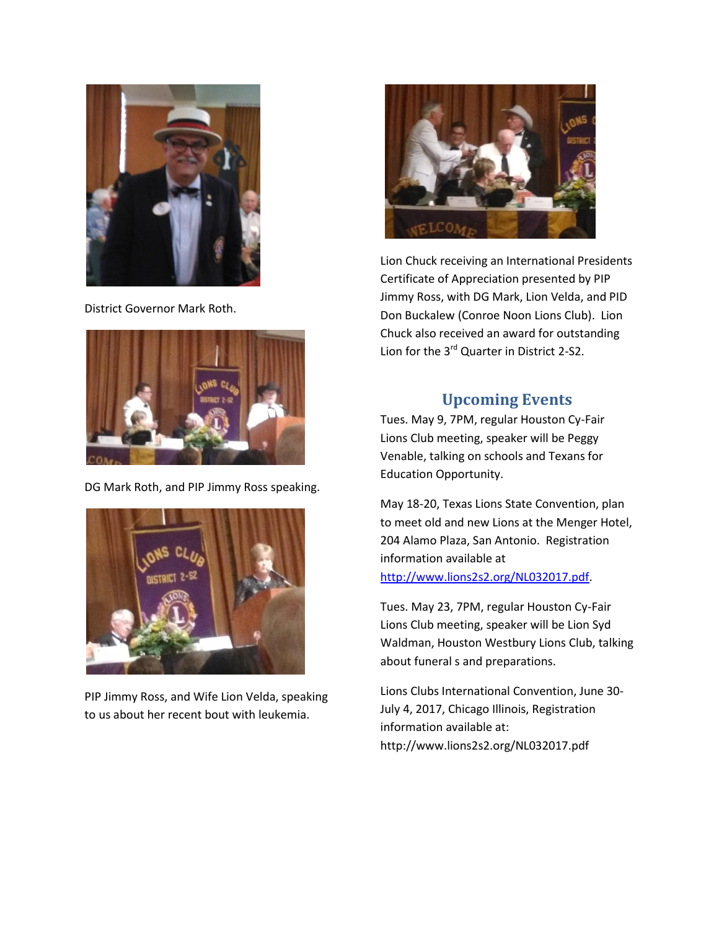

District Governor Mark Roth.



DG Mark Roth, and PIP Jimmy Ross speaking.



PIP Jimmy Ross, and Wife Lion Velda, speaking to us about her recent bout with leukemia.



Lion Chuck receiving an International Presidents Certificate of Appreciation presented by PIP Jimmy Ross, with DG Mark, Lion Velda, and PID Don Buckalew (Conroe Noon Lions Club). Lion Chuck also received an award for outstanding Lion for the 3<sup>rd</sup> Quarter in District 2-S2.

### **Upcoming Events**

Tues. May 9, 7PM, regular Houston Cy-Fair Lions Club meeting, speaker will be Peggy Venable, talking on schools and Texans for Education Opportunity.

May 18-20, Texas Lions State Convention, plan to meet old and new Lions at the Menger Hotel, 204 Alamo Plaza, San Antonio. Registration information available at [http://www.lions2s2.org/NL032017.pdf.](http://www.lions2s2.org/NL032017.pdf)

Tues. May 23, 7PM, regular Houston Cy-Fair Lions Club meeting, speaker will be Lion Syd Waldman, Houston Westbury Lions Club, talking about funeral s and preparations.

Lions Clubs International Convention, June 30- July 4, 2017, Chicago Illinois, Registration information available at: http://www.lions2s2.org/NL032017.pdf